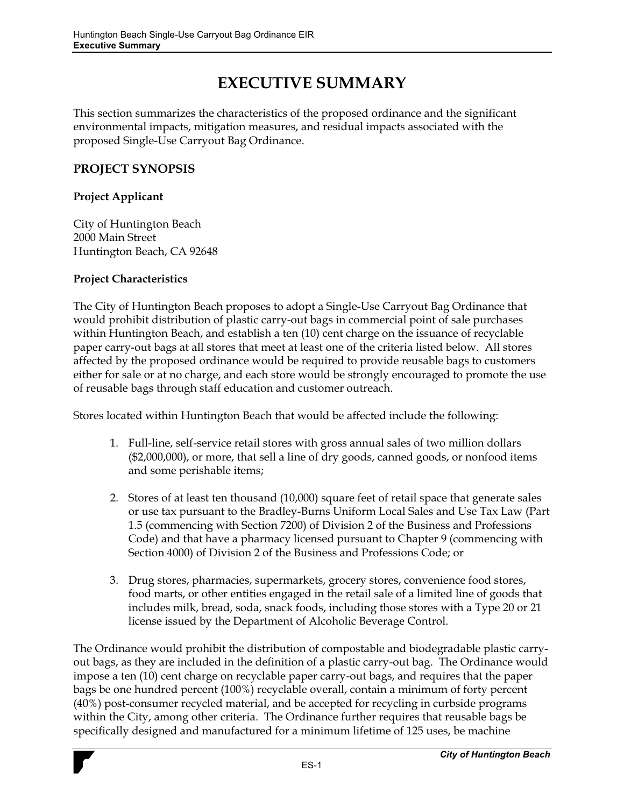# **EXECUTIVE SUMMARY**

This section summarizes the characteristics of the proposed ordinance and the significant environmental impacts, mitigation measures, and residual impacts associated with the proposed Single-Use Carryout Bag Ordinance.

## **PROJECT SYNOPSIS**

## **Project Applicant**

City of Huntington Beach 2000 Main Street Huntington Beach, CA 92648

#### **Project Characteristics**

The City of Huntington Beach proposes to adopt a Single-Use Carryout Bag Ordinance that would prohibit distribution of plastic carry-out bags in commercial point of sale purchases within Huntington Beach, and establish a ten (10) cent charge on the issuance of recyclable paper carry-out bags at all stores that meet at least one of the criteria listed below. All stores affected by the proposed ordinance would be required to provide reusable bags to customers either for sale or at no charge, and each store would be strongly encouraged to promote the use of reusable bags through staff education and customer outreach.

Stores located within Huntington Beach that would be affected include the following:

- 1. Full-line, self-service retail stores with gross annual sales of two million dollars (\$2,000,000), or more, that sell a line of dry goods, canned goods, or nonfood items and some perishable items;
- 2. Stores of at least ten thousand (10,000) square feet of retail space that generate sales or use tax pursuant to the Bradley-Burns Uniform Local Sales and Use Tax Law (Part 1.5 (commencing with Section 7200) of Division 2 of the Business and Professions Code) and that have a pharmacy licensed pursuant to Chapter 9 (commencing with Section 4000) of Division 2 of the Business and Professions Code; or
- 3. Drug stores, pharmacies, supermarkets, grocery stores, convenience food stores, food marts, or other entities engaged in the retail sale of a limited line of goods that includes milk, bread, soda, snack foods, including those stores with a Type 20 or 21 license issued by the Department of Alcoholic Beverage Control.

The Ordinance would prohibit the distribution of compostable and biodegradable plastic carryout bags, as they are included in the definition of a plastic carry-out bag. The Ordinance would impose a ten (10) cent charge on recyclable paper carry-out bags, and requires that the paper bags be one hundred percent (100%) recyclable overall, contain a minimum of forty percent (40%) post-consumer recycled material, and be accepted for recycling in curbside programs within the City, among other criteria. The Ordinance further requires that reusable bags be specifically designed and manufactured for a minimum lifetime of 125 uses, be machine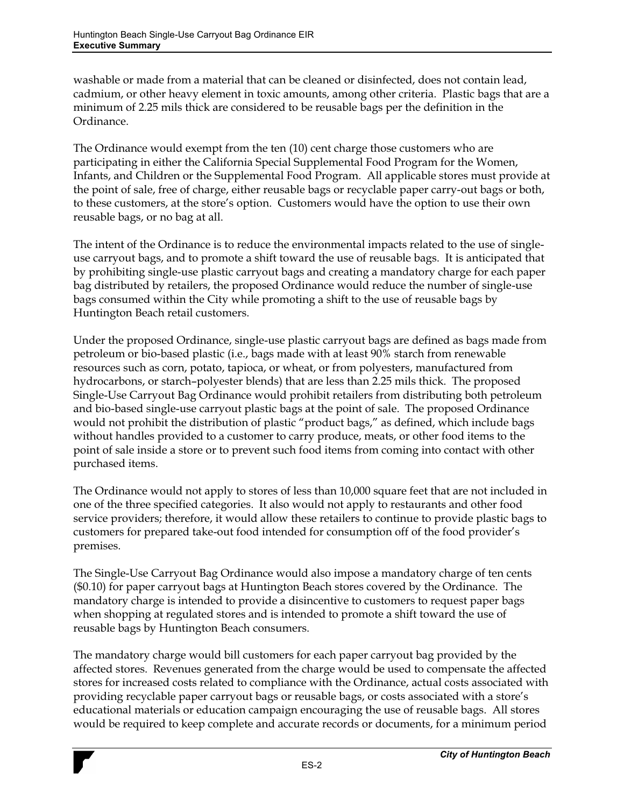washable or made from a material that can be cleaned or disinfected, does not contain lead, cadmium, or other heavy element in toxic amounts, among other criteria. Plastic bags that are a minimum of 2.25 mils thick are considered to be reusable bags per the definition in the Ordinance.

The Ordinance would exempt from the ten (10) cent charge those customers who are participating in either the California Special Supplemental Food Program for the Women, Infants, and Children or the Supplemental Food Program. All applicable stores must provide at the point of sale, free of charge, either reusable bags or recyclable paper carry-out bags or both, to these customers, at the store's option. Customers would have the option to use their own reusable bags, or no bag at all.

The intent of the Ordinance is to reduce the environmental impacts related to the use of singleuse carryout bags, and to promote a shift toward the use of reusable bags. It is anticipated that by prohibiting single-use plastic carryout bags and creating a mandatory charge for each paper bag distributed by retailers, the proposed Ordinance would reduce the number of single-use bags consumed within the City while promoting a shift to the use of reusable bags by Huntington Beach retail customers.

Under the proposed Ordinance, single-use plastic carryout bags are defined as bags made from petroleum or bio-based plastic (i.e., bags made with at least 90% starch from renewable resources such as corn, potato, tapioca, or wheat, or from polyesters, manufactured from hydrocarbons, or starch-polyester blends) that are less than 2.25 mils thick. The proposed Single-Use Carryout Bag Ordinance would prohibit retailers from distributing both petroleum and bio-based single-use carryout plastic bags at the point of sale. The proposed Ordinance would not prohibit the distribution of plastic "product bags," as defined, which include bags without handles provided to a customer to carry produce, meats, or other food items to the point of sale inside a store or to prevent such food items from coming into contact with other purchased items.

The Ordinance would not apply to stores of less than 10,000 square feet that are not included in one of the three specified categories. It also would not apply to restaurants and other food service providers; therefore, it would allow these retailers to continue to provide plastic bags to customers for prepared take-out food intended for consumption off of the food provider's premises.

The Single-Use Carryout Bag Ordinance would also impose a mandatory charge of ten cents (\$0.10) for paper carryout bags at Huntington Beach stores covered by the Ordinance. The mandatory charge is intended to provide a disincentive to customers to request paper bags when shopping at regulated stores and is intended to promote a shift toward the use of reusable bags by Huntington Beach consumers.

The mandatory charge would bill customers for each paper carryout bag provided by the affected stores. Revenues generated from the charge would be used to compensate the affected stores for increased costs related to compliance with the Ordinance, actual costs associated with providing recyclable paper carryout bags or reusable bags, or costs associated with a store's educational materials or education campaign encouraging the use of reusable bags. All stores would be required to keep complete and accurate records or documents, for a minimum period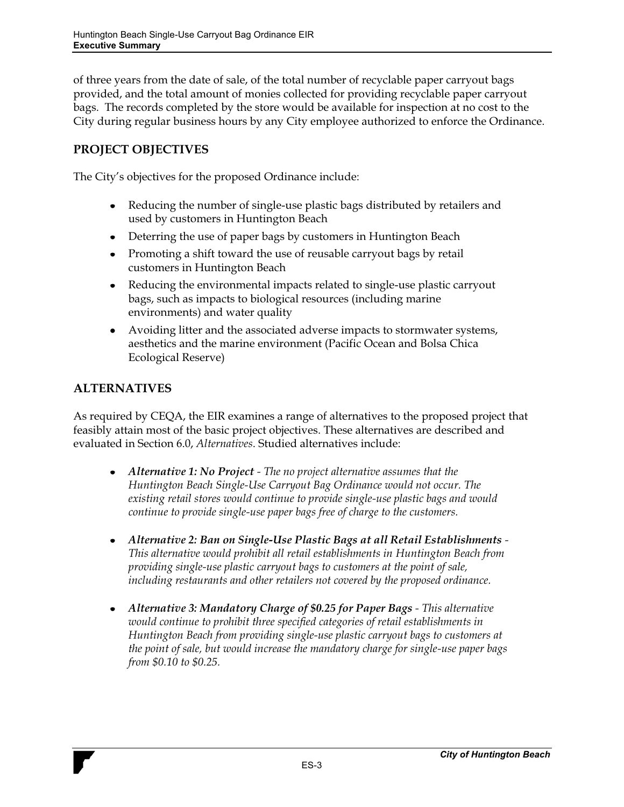of three years from the date of sale, of the total number of recyclable paper carryout bags provided, and the total amount of monies collected for providing recyclable paper carryout bags. The records completed by the store would be available for inspection at no cost to the City during regular business hours by any City employee authorized to enforce the Ordinance.

## **PROJECT OBJECTIVES**

The City's objectives for the proposed Ordinance include:

- $\bullet$ Reducing the number of single-use plastic bags distributed by retailers and used by customers in Huntington Beach
- Deterring the use of paper bags by customers in Huntington Beach
- Promoting a shift toward the use of reusable carryout bags by retail customers in Huntington Beach
- Reducing the environmental impacts related to single-use plastic carryout bags, such as impacts to biological resources (including marine environments) and water quality
- Avoiding litter and the associated adverse impacts to stormwater systems, aesthetics and the marine environment (Pacific Ocean and Bolsa Chica Ecological Reserve)

# **ALTERNATIVES**

As required by CEQA, the EIR examines a range of alternatives to the proposed project that feasibly attain most of the basic project objectives. These alternatives are described and evaluated in Section 6.0, *Alternatives*. Studied alternatives include:

- *Alternative 1: No Project The no project alternative assumes that the Huntington Beach Single-Use Carryout Bag Ordinance would not occur. The existing retail stores would continue to provide single-use plastic bags and would continue to provide single-use paper bags free of charge to the customers.*
- *Alternative 2: Ban on Single-Use Plastic Bags at all Retail Establishments*   $\bullet$ *This alternative would prohibit all retail establishments in Huntington Beach from providing single-use plastic carryout bags to customers at the point of sale, including restaurants and other retailers not covered by the proposed ordinance.*
- *Alternative 3: Mandatory Charge of \$0.25 for Paper Bags This alternative*   $\bullet$ *would continue to prohibit three specified categories of retail establishments in Huntington Beach from providing single-use plastic carryout bags to customers at the point of sale, but would increase the mandatory charge for single-use paper bags from \$0.10 to \$0.25.*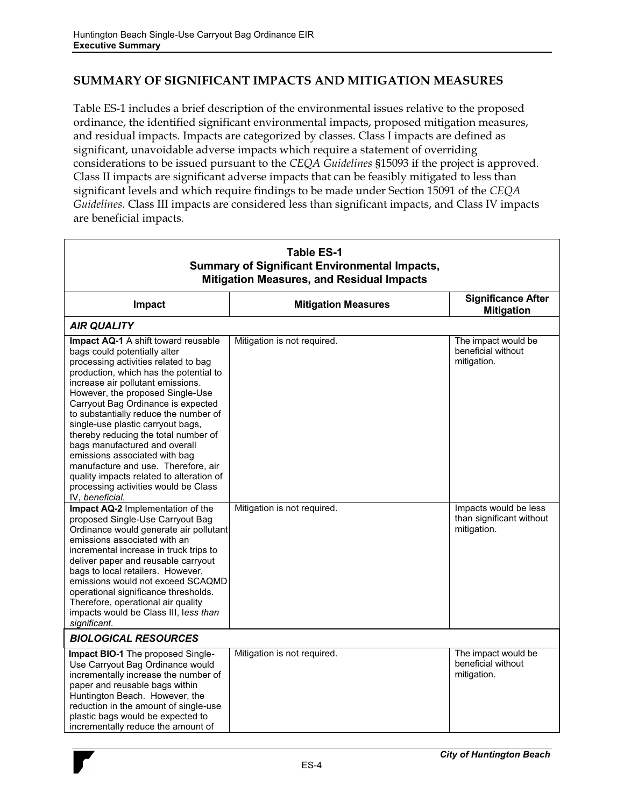## **SUMMARY OF SIGNIFICANT IMPACTS AND MITIGATION MEASURES**

Table ES-1 includes a brief description of the environmental issues relative to the proposed ordinance, the identified significant environmental impacts, proposed mitigation measures, and residual impacts. Impacts are categorized by classes. Class I impacts are defined as significant, unavoidable adverse impacts which require a statement of overriding considerations to be issued pursuant to the *CEQA Guidelines* §15093 if the project is approved. Class II impacts are significant adverse impacts that can be feasibly mitigated to less than significant levels and which require findings to be made under Section 15091 of the *CEQA Guidelines.* Class III impacts are considered less than significant impacts, and Class IV impacts are beneficial impacts.

| <b>Table ES-1</b><br><b>Summary of Significant Environmental Impacts,</b><br><b>Mitigation Measures, and Residual Impacts</b>                                                                                                                                                                                                                                                                                                                                                                                                                                                                                                                          |                                                            |                                                                                   |  |  |
|--------------------------------------------------------------------------------------------------------------------------------------------------------------------------------------------------------------------------------------------------------------------------------------------------------------------------------------------------------------------------------------------------------------------------------------------------------------------------------------------------------------------------------------------------------------------------------------------------------------------------------------------------------|------------------------------------------------------------|-----------------------------------------------------------------------------------|--|--|
| Impact                                                                                                                                                                                                                                                                                                                                                                                                                                                                                                                                                                                                                                                 | <b>Mitigation Measures</b>                                 | <b>Significance After</b><br><b>Mitigation</b>                                    |  |  |
| <b>AIR QUALITY</b>                                                                                                                                                                                                                                                                                                                                                                                                                                                                                                                                                                                                                                     |                                                            |                                                                                   |  |  |
| <b>Impact AQ-1</b> A shift toward reusable<br>bags could potentially alter<br>processing activities related to bag<br>production, which has the potential to<br>increase air pollutant emissions.<br>However, the proposed Single-Use<br>Carryout Bag Ordinance is expected<br>to substantially reduce the number of<br>single-use plastic carryout bags,<br>thereby reducing the total number of<br>bags manufactured and overall<br>emissions associated with bag<br>manufacture and use. Therefore, air<br>quality impacts related to alteration of<br>processing activities would be Class<br>IV, beneficial.<br>Impact AQ-2 Implementation of the | Mitigation is not required.<br>Mitigation is not required. | The impact would be<br>beneficial without<br>mitigation.<br>Impacts would be less |  |  |
| proposed Single-Use Carryout Bag<br>Ordinance would generate air pollutant<br>emissions associated with an<br>incremental increase in truck trips to<br>deliver paper and reusable carryout<br>bags to local retailers. However,<br>emissions would not exceed SCAQMD<br>operational significance thresholds.<br>Therefore, operational air quality<br>impacts would be Class III, less than<br>significant.                                                                                                                                                                                                                                           |                                                            | than significant without<br>mitigation.                                           |  |  |
| <b>BIOLOGICAL RESOURCES</b>                                                                                                                                                                                                                                                                                                                                                                                                                                                                                                                                                                                                                            |                                                            |                                                                                   |  |  |
| Impact BIO-1 The proposed Single-<br>Use Carryout Bag Ordinance would<br>incrementally increase the number of<br>paper and reusable bags within<br>Huntington Beach. However, the<br>reduction in the amount of single-use<br>plastic bags would be expected to<br>incrementally reduce the amount of                                                                                                                                                                                                                                                                                                                                                  | Mitigation is not required.                                | The impact would be<br>beneficial without<br>mitigation.                          |  |  |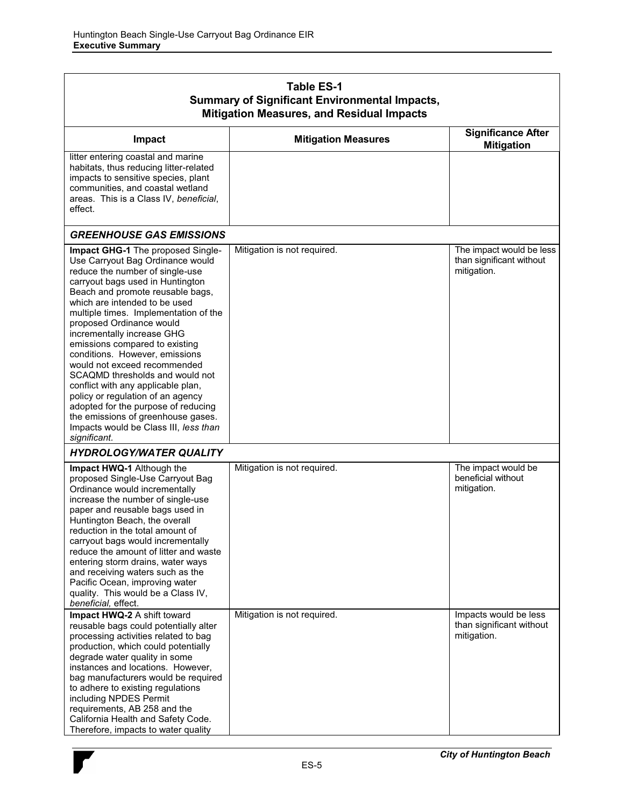| <b>Table ES-1</b><br><b>Summary of Significant Environmental Impacts,</b><br><b>Mitigation Measures, and Residual Impacts</b>                                                                                                                                                                                                                                                                                                                                                                                                                                                                                                                                                |                             |                                                                     |  |  |
|------------------------------------------------------------------------------------------------------------------------------------------------------------------------------------------------------------------------------------------------------------------------------------------------------------------------------------------------------------------------------------------------------------------------------------------------------------------------------------------------------------------------------------------------------------------------------------------------------------------------------------------------------------------------------|-----------------------------|---------------------------------------------------------------------|--|--|
| Impact                                                                                                                                                                                                                                                                                                                                                                                                                                                                                                                                                                                                                                                                       | <b>Mitigation Measures</b>  | <b>Significance After</b><br><b>Mitigation</b>                      |  |  |
| litter entering coastal and marine<br>habitats, thus reducing litter-related<br>impacts to sensitive species, plant<br>communities, and coastal wetland<br>areas. This is a Class IV, beneficial,<br>effect.                                                                                                                                                                                                                                                                                                                                                                                                                                                                 |                             |                                                                     |  |  |
| <b>GREENHOUSE GAS EMISSIONS</b>                                                                                                                                                                                                                                                                                                                                                                                                                                                                                                                                                                                                                                              |                             |                                                                     |  |  |
| Impact GHG-1 The proposed Single-<br>Use Carryout Bag Ordinance would<br>reduce the number of single-use<br>carryout bags used in Huntington<br>Beach and promote reusable bags,<br>which are intended to be used<br>multiple times. Implementation of the<br>proposed Ordinance would<br>incrementally increase GHG<br>emissions compared to existing<br>conditions. However, emissions<br>would not exceed recommended<br>SCAQMD thresholds and would not<br>conflict with any applicable plan,<br>policy or regulation of an agency<br>adopted for the purpose of reducing<br>the emissions of greenhouse gases.<br>Impacts would be Class III, less than<br>significant. | Mitigation is not required. | The impact would be less<br>than significant without<br>mitigation. |  |  |
| <b>HYDROLOGY/WATER QUALITY</b>                                                                                                                                                                                                                                                                                                                                                                                                                                                                                                                                                                                                                                               |                             |                                                                     |  |  |
| Impact HWQ-1 Although the<br>proposed Single-Use Carryout Bag<br>Ordinance would incrementally<br>increase the number of single-use<br>paper and reusable bags used in<br>Huntington Beach, the overall<br>reduction in the total amount of<br>carryout bags would incrementally<br>reduce the amount of litter and waste<br>entering storm drains, water ways<br>and receiving waters such as the<br>Pacific Ocean, improving water<br>quality. This would be a Class IV,<br>beneficial, effect.                                                                                                                                                                            | Mitigation is not required. | The impact would be<br>beneficial without<br>mitigation.            |  |  |
| Impact HWQ-2 A shift toward<br>reusable bags could potentially alter<br>processing activities related to bag<br>production, which could potentially<br>degrade water quality in some<br>instances and locations. However,<br>bag manufacturers would be required<br>to adhere to existing regulations<br>including NPDES Permit<br>requirements, AB 258 and the<br>California Health and Safety Code.<br>Therefore, impacts to water quality                                                                                                                                                                                                                                 | Mitigation is not required. | Impacts would be less<br>than significant without<br>mitigation.    |  |  |